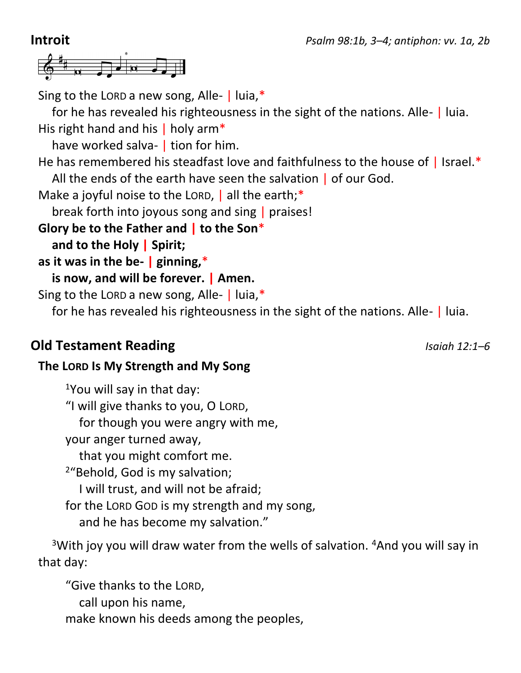

Sing to the LORD a new song, Alle-  $\vert$  luia,\*

for he has revealed his righteousness in the sight of the nations. Alle- | luia. His right hand and his | holy arm\*

have worked salva- | tion for him.

He has remembered his steadfast love and faithfulness to the house of | Israel.\* All the ends of the earth have seen the salvation | of our God.

Make a joyful noise to the LORD,  $\vert$  all the earth;\*

break forth into joyous song and sing | praises!

**Glory be to the Father and | to the Son**\*

**and to the Holy | Spirit;**

**as it was in the be- | ginning,**\*

**is now, and will be forever. | Amen.**

Sing to the LORD a new song, Alle-  $\vert$  luia,\*

for he has revealed his righteousness in the sight of the nations. Alle- | luia.

# **Old Testament Reading** *Isaiah 12:1–6*

## **The LORD Is My Strength and My Song**

 $1$ You will say in that day: "I will give thanks to you, O LORD, for though you were angry with me, your anger turned away, that you might comfort me. <sup>2</sup>"Behold, God is my salvation; I will trust, and will not be afraid; for the LORD GOD is my strength and my song, and he has become my salvation."

<sup>3</sup>With joy you will draw water from the wells of salvation. <sup>4</sup>And you will say in that day:

"Give thanks to the LORD, call upon his name, make known his deeds among the peoples,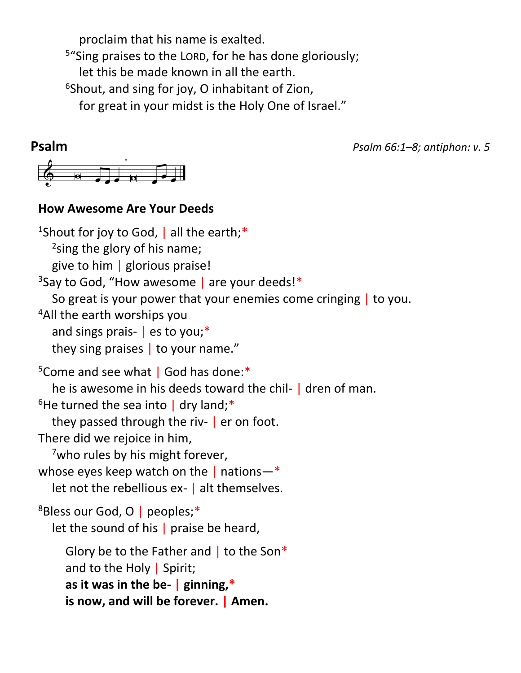proclaim that his name is exalted. <sup>5</sup>"Sing praises to the LORD, for he has done gloriously; let this be made known in all the earth.  $6$ Shout, and sing for joy, O inhabitant of Zion, for great in your midst is the Holy One of Israel."

**Psalm** *Psalm 66:1–8; antiphon: v. 5*  $\phi$   $\theta$   $\theta$   $\theta$   $\theta$   $\theta$   $\theta$ 

### **How Awesome Are Your Deeds**

<sup>1</sup>Shout for joy to God,  $|$  all the earth;\* <sup>2</sup>sing the glory of his name; give to him | glorious praise! <sup>3</sup>Say to God, "How awesome | are your deeds!\* So great is your power that your enemies come cringing | to you. <sup>4</sup>All the earth worships you and sings prais- | es to you;\* they sing praises | to your name." <sup>5</sup>Come and see what | God has done:\* he is awesome in his deeds toward the chil- | dren of man.  $6$ He turned the sea into | dry land;\* they passed through the riv- | er on foot. There did we rejoice in him,  $7$ who rules by his might forever, whose eyes keep watch on the  $|$  nations—\* let not the rebellious ex- | alt themselves. <sup>8</sup>Bless our God, O | peoples;\* let the sound of his  $|$  praise be heard, Glory be to the Father and | to the Son\* and to the Holy | Spirit; **as it was in the be- | ginning,\* is now, and will be forever. | Amen.**